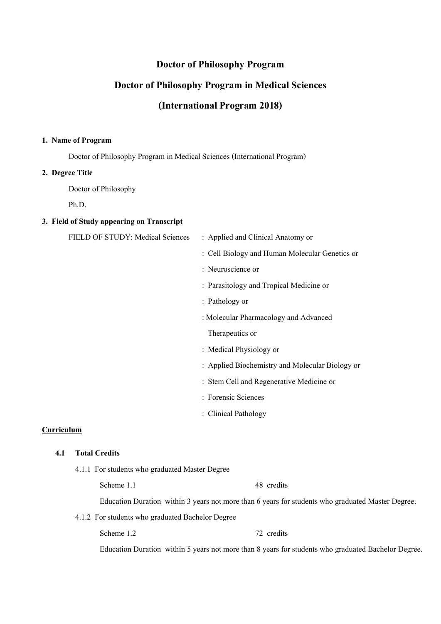## **Doctor of Philosophy Program**

# **Doctor of Philosophy Program in Medical Sciences**

# **(International Program 2018)**

#### **1. Name of Program**

Doctor of Philosophy Program in Medical Sciences (International Program)

#### **2. Degree Title**

Doctor of Philosophy

Ph.D.

#### **3. Field of Study appearing on Transcript**

| FIELD OF STUDY: Medical Sciences | : Applied and Clinical Anatomy or               |
|----------------------------------|-------------------------------------------------|
|                                  | : Cell Biology and Human Molecular Genetics or  |
|                                  | : Neuroscience or                               |
|                                  | : Parasitology and Tropical Medicine or         |
|                                  | : Pathology or                                  |
|                                  | : Molecular Pharmacology and Advanced           |
|                                  | Therapeutics or                                 |
|                                  | : Medical Physiology or                         |
|                                  | : Applied Biochemistry and Molecular Biology or |
|                                  | : Stem Cell and Regenerative Medicine or        |
|                                  | : Forensic Sciences                             |
|                                  | : Clinical Pathology                            |
| Curriculum                       |                                                 |
| <b>Total Credits</b><br>4.1      |                                                 |

4.1.1 For students who graduated Master Degree

Scheme 1.1 48 credits

Education Duration within 3 years not more than 6 years for students who graduated Master Degree.

4.1.2 For students who graduated Bachelor Degree

Scheme 1.2 72 credits

Education Duration within 5 years not more than 8 years for students who graduated Bachelor Degree.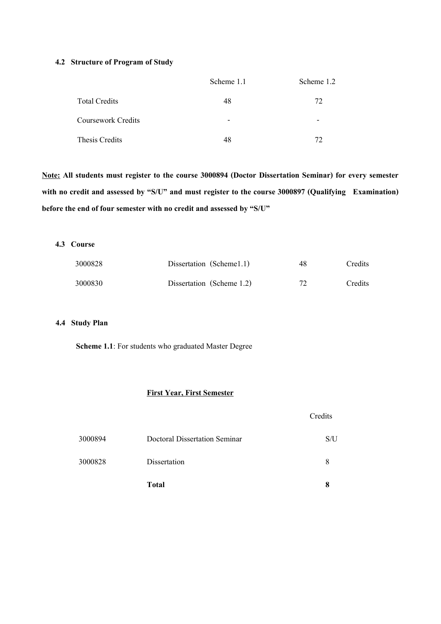#### **4.2 Structure of Program of Study**

|                      | Scheme 1.1               | Scheme 1.2               |
|----------------------|--------------------------|--------------------------|
| <b>Total Credits</b> | 48                       | 72                       |
| Coursework Credits   | $\overline{\phantom{0}}$ | $\overline{\phantom{0}}$ |
| Thesis Credits       | 48                       | 72                       |

**Note: All students must register to the course 3000894 (Doctor Dissertation Seminar) for every semester with no credit and assessed by "S/U" and must register to the course 3000897 (Qualifying Examination) before the end of four semester with no credit and assessed by "S/U"**

#### **4.3 Course**

| 3000828 | Dissertation (Scheme1.1)  | 48 | <b>Credits</b> |
|---------|---------------------------|----|----------------|
| 3000830 | Dissertation (Scheme 1.2) | 72 | Credits        |

#### **4.4 Study Plan**

 **Scheme 1.1**: For students who graduated Master Degree

## **First Year, First Semester**

|         |                               | Credits |
|---------|-------------------------------|---------|
| 3000894 | Doctoral Dissertation Seminar | S/U     |
| 3000828 | Dissertation                  | 8       |
|         | <b>Total</b>                  | 8       |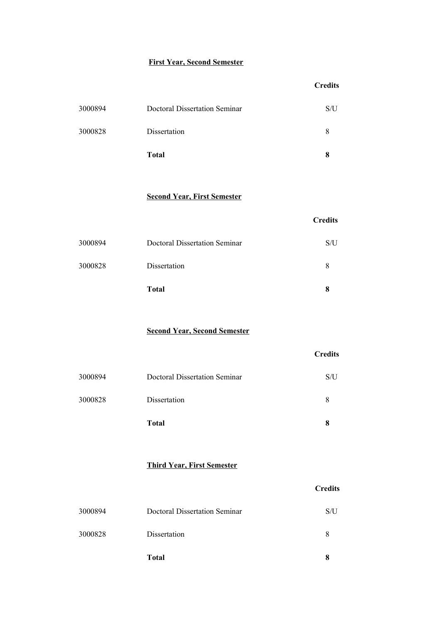## **First Year, Second Semester**

|         |                               | <b>Credits</b> |
|---------|-------------------------------|----------------|
| 3000894 | Doctoral Dissertation Seminar | S/U            |
| 3000828 | Dissertation                  | 8              |
|         | <b>Total</b>                  | 8              |

### **Second Year, First Semester**

| <b>Total</b>                                    | 8   |
|-------------------------------------------------|-----|
| 3000828<br>Dissertation                         | 8   |
| 3000894<br><b>Doctoral Dissertation Seminar</b> | S/U |

**Credits**

**Credits** 

**Second Year, Second Semester**

|         |                                      | <b>Credits</b> |
|---------|--------------------------------------|----------------|
| 3000894 | <b>Doctoral Dissertation Seminar</b> | S/U            |
| 3000828 | Dissertation                         | 8              |
|         | <b>Total</b>                         | 8              |

### **Third Year, First Semester**

| S/U |
|-----|
|     |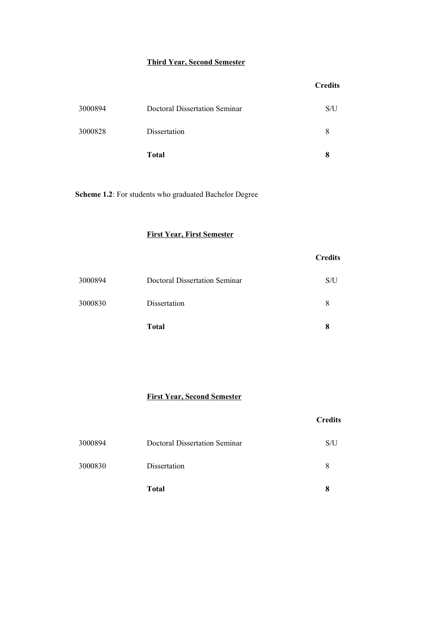### **Third Year, Second Semester**

|         |                               | <b>Credits</b> |
|---------|-------------------------------|----------------|
| 3000894 | Doctoral Dissertation Seminar | S/U            |
| 3000828 | Dissertation                  | 8              |
|         | <b>Total</b>                  | 8              |

**Scheme 1.2**: For students who graduated Bachelor Degree

### **First Year, First Semester**

|         |                               | <b>Credits</b> |
|---------|-------------------------------|----------------|
| 3000894 | Doctoral Dissertation Seminar | S/U            |
| 3000830 | Dissertation                  | 8              |
|         | <b>Total</b>                  | 8              |

## **First Year, Second Semester**

|         |                                      | <b>Credits</b> |
|---------|--------------------------------------|----------------|
| 3000894 | <b>Doctoral Dissertation Seminar</b> | S/U            |
| 3000830 | Dissertation                         | 8              |
|         | <b>Total</b>                         | 8              |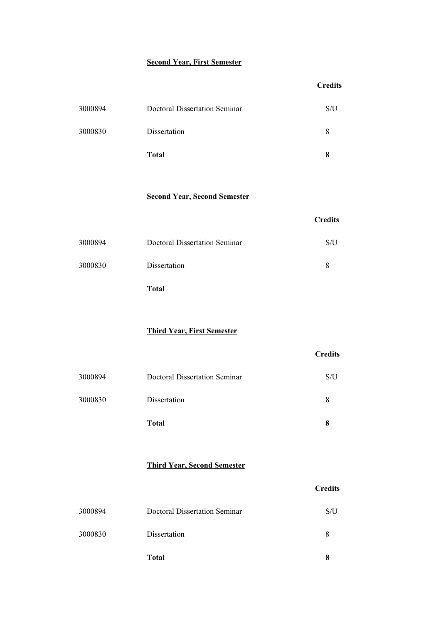# **Second Year, First Semester**

|         |                                      | <b>Credits</b> |
|---------|--------------------------------------|----------------|
| 3000894 | <b>Doctoral Dissertation Seminar</b> | S/U            |
| 3000830 | Dissertation                         | 8              |
|         | <b>Total</b>                         | 8              |
|         | <b>Second Year, Second Semester</b>  | <b>Credits</b> |
| 3000894 | <b>Doctoral Dissertation Seminar</b> | S/U            |
| 3000830 | Dissertation                         | 8              |
|         | <b>Total</b>                         |                |
|         | <b>Third Year, First Semester</b>    |                |
|         |                                      | <b>Credits</b> |
| 3000894 | <b>Doctoral Dissertation Seminar</b> | S/U            |
| 3000830 | Dissertation                         | 8              |
|         | <b>Total</b>                         | 8              |
|         |                                      |                |

### **Third Year, Second Semester**

| 8   |
|-----|
| 8   |
| S/U |
|     |

**Credits**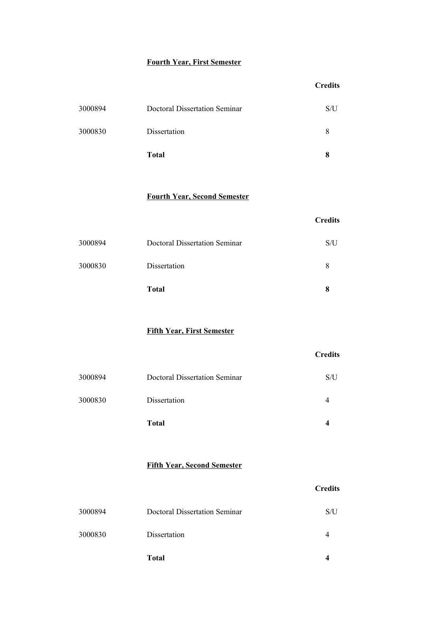# **Fourth Year, First Semester**

|         |                               | <b>Credits</b> |
|---------|-------------------------------|----------------|
| 3000894 | Doctoral Dissertation Seminar | S/U            |
| 3000830 | Dissertation                  | 8              |
|         | <b>Total</b>                  | 8              |

### **Fourth Year, Second Semester**

|         | <b>Total</b>                         | x   |
|---------|--------------------------------------|-----|
| 3000830 | Dissertation                         | 8   |
| 3000894 | <b>Doctoral Dissertation Seminar</b> | S/U |

**Credits**

**Credits**

**Fifth Year, First Semester** 

|         |                               | <b>Credits</b> |
|---------|-------------------------------|----------------|
| 3000894 | Doctoral Dissertation Seminar | S/U            |
| 3000830 | Dissertation                  | 4              |
|         | <b>Total</b>                  | 4              |

## **Fifth Year, Second Semester**

| <b>Total</b>                             |     |
|------------------------------------------|-----|
| 3000830<br>Dissertation                  |     |
| 3000894<br>Doctoral Dissertation Seminar | S/U |
|                                          |     |